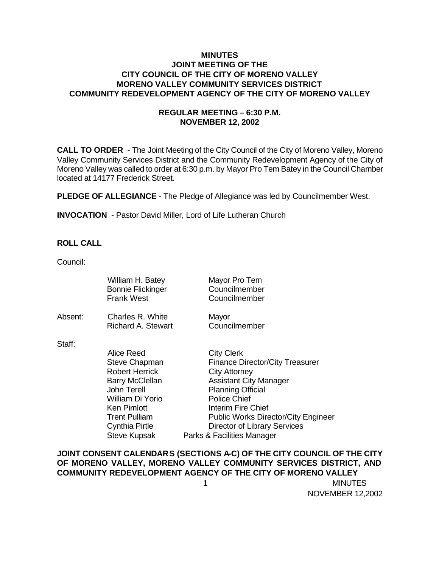## **MINUTES JOINT MEETING OF THE CITY COUNCIL OF THE CITY OF MORENO VALLEY MORENO VALLEY COMMUNITY SERVICES DISTRICT COMMUNITY REDEVELOPMENT AGENCY OF THE CITY OF MORENO VALLEY**

# **REGULAR MEETING – 6:30 P.M. NOVEMBER 12, 2002**

**CALL TO ORDER** - The Joint Meeting of the City Council of the City of Moreno Valley, Moreno Valley Community Services District and the Community Redevelopment Agency of the City of Moreno Valley was called to order at 6:30 p.m. by Mayor Pro Tem Batey in the Council Chamber located at 14177 Frederick Street.

**PLEDGE OF ALLEGIANCE** - The Pledge of Allegiance was led by Councilmember West.

**INVOCATION** - Pastor David Miller, Lord of Life Lutheran Church

## **ROLL CALL**

Council:

|         | William H. Batey<br><b>Bonnie Flickinger</b><br><b>Frank West</b>                                                                                                                                               | Mayor Pro Tem<br>Councilmember<br>Councilmember                                                                                                                                                                                                                                                                  |
|---------|-----------------------------------------------------------------------------------------------------------------------------------------------------------------------------------------------------------------|------------------------------------------------------------------------------------------------------------------------------------------------------------------------------------------------------------------------------------------------------------------------------------------------------------------|
| Absent: | Charles R. White<br>Richard A. Stewart                                                                                                                                                                          | Mayor<br>Councilmember                                                                                                                                                                                                                                                                                           |
| Staff:  | Alice Reed<br><b>Steve Chapman</b><br><b>Robert Herrick</b><br><b>Barry McClellan</b><br><b>John Terell</b><br>William Di Yorio<br>Ken Pimlott<br><b>Trent Pulliam</b><br>Cynthia Pirtle<br><b>Steve Kupsak</b> | <b>City Clerk</b><br><b>Finance Director/City Treasurer</b><br><b>City Attorney</b><br><b>Assistant City Manager</b><br><b>Planning Official</b><br><b>Police Chief</b><br>Interim Fire Chief<br><b>Public Works Director/City Engineer</b><br><b>Director of Library Services</b><br>Parks & Facilities Manager |

**JOINT CONSENT CALENDARS (SECTIONS A-C) OF THE CITY COUNCIL OF THE CITY OF MORENO VALLEY, MORENO VALLEY COMMUNITY SERVICES DISTRICT, AND COMMUNITY REDEVELOPMENT AGENCY OF THE CITY OF MORENO VALLEY**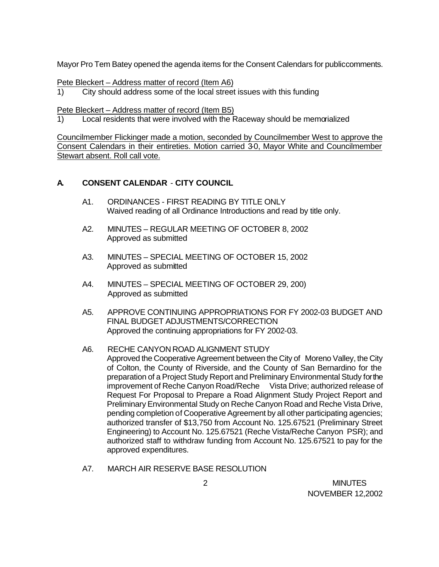Mayor Pro Tem Batey opened the agenda items for the Consent Calendars for public comments.

Pete Bleckert – Address matter of record (Item A6)

1) City should address some of the local street issues with this funding

Pete Bleckert – Address matter of record (Item B5)

1) Local residents that were involved with the Raceway should be memorialized

Councilmember Flickinger made a motion, seconded by Councilmember West to approve the Consent Calendars in their entireties. Motion carried 3-0, Mayor White and Councilmember Stewart absent. Roll call vote.

## **A. CONSENT CALENDAR** - **CITY COUNCIL**

- A1. ORDINANCES FIRST READING BY TITLE ONLY Waived reading of all Ordinance Introductions and read by title only.
- A2. MINUTES REGULAR MEETING OF OCTOBER 8, 2002 Approved as submitted
- A3. MINUTES SPECIAL MEETING OF OCTOBER 15, 2002 Approved as submitted
- A4. MINUTES SPECIAL MEETING OF OCTOBER 29, 200) Approved as submitted
- A5. APPROVE CONTINUING APPROPRIATIONS FOR FY 2002-03 BUDGET AND FINAL BUDGET ADJUSTMENTS/CORRECTION Approved the continuing appropriations for FY 2002-03.
- A6. RECHE CANYON ROAD ALIGNMENT STUDY Approved the Cooperative Agreement between the City of Moreno Valley, the City of Colton, the County of Riverside, and the County of San Bernardino for the preparation of a Project Study Report and Preliminary Environmental Study for the improvement of Reche Canyon Road/Reche Vista Drive; authorized release of Request For Proposal to Prepare a Road Alignment Study Project Report and Preliminary Environmental Study on Reche Canyon Road and Reche Vista Drive, pending completion of Cooperative Agreement by all other participating agencies; authorized transfer of \$13,750 from Account No. 125.67521 (Preliminary Street Engineering) to Account No. 125.67521 (Reche Vista/Reche Canyon PSR); and authorized staff to withdraw funding from Account No. 125.67521 to pay for the approved expenditures.
- A7. MARCH AIR RESERVE BASE RESOLUTION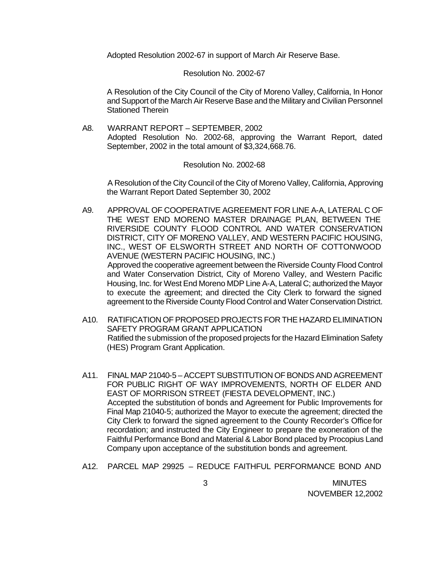Adopted Resolution 2002-67 in support of March Air Reserve Base.

### Resolution No. 2002-67

A Resolution of the City Council of the City of Moreno Valley, California, In Honor and Support of the March Air Reserve Base and the Military and Civilian Personnel Stationed Therein

A8. WARRANT REPORT – SEPTEMBER, 2002 Adopted Resolution No. 2002-68, approving the Warrant Report, dated September, 2002 in the total amount of \$3,324,668.76.

### Resolution No. 2002-68

A Resolution of the City Council of the City of Moreno Valley, California, Approving the Warrant Report Dated September 30, 2002

- A9. APPROVAL OF COOPERATIVE AGREEMENT FOR LINE A-A, LATERAL C OF THE WEST END MORENO MASTER DRAINAGE PLAN, BETWEEN THE RIVERSIDE COUNTY FLOOD CONTROL AND WATER CONSERVATION DISTRICT, CITY OF MORENO VALLEY, AND WESTERN PACIFIC HOUSING, INC., WEST OF ELSWORTH STREET AND NORTH OF COTTONWOOD AVENUE (WESTERN PACIFIC HOUSING, INC.) Approved the cooperative agreement between the Riverside County Flood Control and Water Conservation District, City of Moreno Valley, and Western Pacific Housing, Inc. for West End Moreno MDP Line A-A, Lateral C; authorized the Mayor to execute the agreement; and directed the City Clerk to forward the signed agreement to the Riverside County Flood Control and Water Conservation District.
- A10. RATIFICATION OF PROPOSED PROJECTS FOR THE HAZARD ELIMINATION SAFETY PROGRAM GRANT APPLICATION Ratified the submission of the proposed projects for the Hazard Elimination Safety (HES) Program Grant Application.
- A11. FINAL MAP 21040-5 ACCEPT SUBSTITUTION OF BONDS AND AGREEMENT FOR PUBLIC RIGHT OF WAY IMPROVEMENTS, NORTH OF ELDER AND EAST OF MORRISON STREET (FIESTA DEVELOPMENT, INC.) Accepted the substitution of bonds and Agreement for Public Improvements for Final Map 21040-5; authorized the Mayor to execute the agreement; directed the City Clerk to forward the signed agreement to the County Recorder's Office for recordation; and instructed the City Engineer to prepare the exoneration of the Faithful Performance Bond and Material & Labor Bond placed by Procopius Land Company upon acceptance of the substitution bonds and agreement.
- A12. PARCEL MAP 29925 REDUCE FAITHFUL PERFORMANCE BOND AND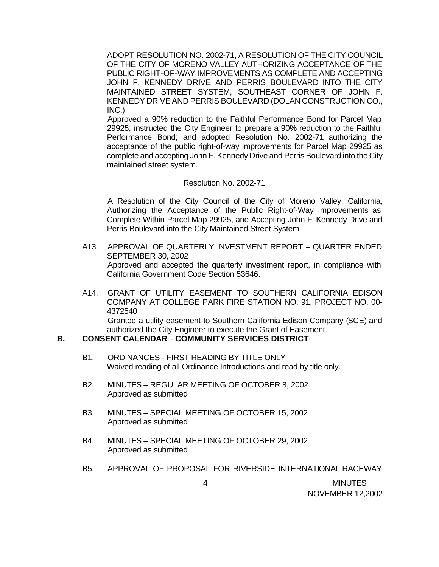ADOPT RESOLUTION NO. 2002-71, A RESOLUTION OF THE CITY COUNCIL OF THE CITY OF MORENO VALLEY AUTHORIZING ACCEPTANCE OF THE PUBLIC RIGHT-OF-WAY IMPROVEMENTS AS COMPLETE AND ACCEPTING JOHN F. KENNEDY DRIVE AND PERRIS BOULEVARD INTO THE CITY MAINTAINED STREET SYSTEM, SOUTHEAST CORNER OF JOHN F. KENNEDY DRIVE AND PERRIS BOULEVARD (DOLAN CONSTRUCTION CO., INC.)

Approved a 90% reduction to the Faithful Performance Bond for Parcel Map 29925; instructed the City Engineer to prepare a 90% reduction to the Faithful Performance Bond; and adopted Resolution No. 2002-71 authorizing the acceptance of the public right-of-way improvements for Parcel Map 29925 as complete and accepting John F. Kennedy Drive and Perris Boulevard into the City maintained street system.

### Resolution No. 2002-71

A Resolution of the City Council of the City of Moreno Valley, California, Authorizing the Acceptance of the Public Right-of-Way Improvements as Complete Within Parcel Map 29925, and Accepting John F. Kennedy Drive and Perris Boulevard into the City Maintained Street System

- A13. APPROVAL OF QUARTERLY INVESTMENT REPORT QUARTER ENDED SEPTEMBER 30, 2002 Approved and accepted the quarterly investment report, in compliance with California Government Code Section 53646.
- A14. GRANT OF UTILITY EASEMENT TO SOUTHERN CALIFORNIA EDISON COMPANY AT COLLEGE PARK FIRE STATION NO. 91, PROJECT NO. 00- 4372540

Granted a utility easement to Southern California Edison Company (SCE) and authorized the City Engineer to execute the Grant of Easement.

# **B. CONSENT CALENDAR** - **COMMUNITY SERVICES DISTRICT**

- B1. ORDINANCES FIRST READING BY TITLE ONLY Waived reading of all Ordinance Introductions and read by title only.
- B2. MINUTES REGULAR MEETING OF OCTOBER 8, 2002 Approved as submitted
- B3. MINUTES SPECIAL MEETING OF OCTOBER 15, 2002 Approved as submitted
- B4. MINUTES SPECIAL MEETING OF OCTOBER 29, 2002 Approved as submitted
- B5. APPROVAL OF PROPOSAL FOR RIVERSIDE INTERNATIONAL RACEWAY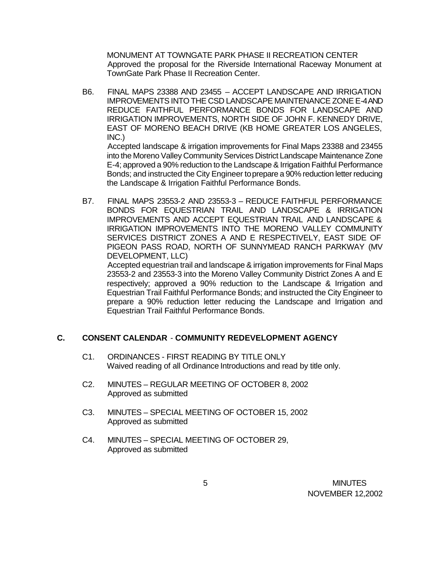MONUMENT AT TOWNGATE PARK PHASE II RECREATION CENTER Approved the proposal for the Riverside International Raceway Monument at TownGate Park Phase II Recreation Center.

- B6. FINAL MAPS 23388 AND 23455 ACCEPT LANDSCAPE AND IRRIGATION IMPROVEMENTS INTO THE CSD LANDSCAPE MAINTENANCE ZONE E-4 AND REDUCE FAITHFUL PERFORMANCE BONDS FOR LANDSCAPE AND IRRIGATION IMPROVEMENTS, NORTH SIDE OF JOHN F. KENNEDY DRIVE, EAST OF MORENO BEACH DRIVE (KB HOME GREATER LOS ANGELES, INC.) Accepted landscape & irrigation improvements for Final Maps 23388 and 23455 into the Moreno Valley Community Services District Landscape Maintenance Zone E-4; approved a 90% reduction to the Landscape & Irrigation Faithful Performance Bonds; and instructed the City Engineer to prepare a 90% reduction letter reducing
- B7. FINAL MAPS 23553-2 AND 23553-3 REDUCE FAITHFUL PERFORMANCE BONDS FOR EQUESTRIAN TRAIL AND LANDSCAPE & IRRIGATION IMPROVEMENTS AND ACCEPT EQUESTRIAN TRAIL AND LANDSCAPE & IRRIGATION IMPROVEMENTS INTO THE MORENO VALLEY COMMUNITY SERVICES DISTRICT ZONES A AND E RESPECTIVELY, EAST SIDE OF PIGEON PASS ROAD, NORTH OF SUNNYMEAD RANCH PARKWAY (MV DEVELOPMENT, LLC)

Accepted equestrian trail and landscape & irrigation improvements for Final Maps 23553-2 and 23553-3 into the Moreno Valley Community District Zones A and E respectively; approved a 90% reduction to the Landscape & Irrigation and Equestrian Trail Faithful Performance Bonds; and instructed the City Engineer to prepare a 90% reduction letter reducing the Landscape and Irrigation and Equestrian Trail Faithful Performance Bonds.

## **C. CONSENT CALENDAR** - **COMMUNITY REDEVELOPMENT AGENCY**

the Landscape & Irrigation Faithful Performance Bonds.

- C1. ORDINANCES FIRST READING BY TITLE ONLY Waived reading of all Ordinance Introductions and read by title only.
- C2. MINUTES REGULAR MEETING OF OCTOBER 8, 2002 Approved as submitted
- C3. MINUTES SPECIAL MEETING OF OCTOBER 15, 2002 Approved as submitted
- C4. MINUTES SPECIAL MEETING OF OCTOBER 29, Approved as submitted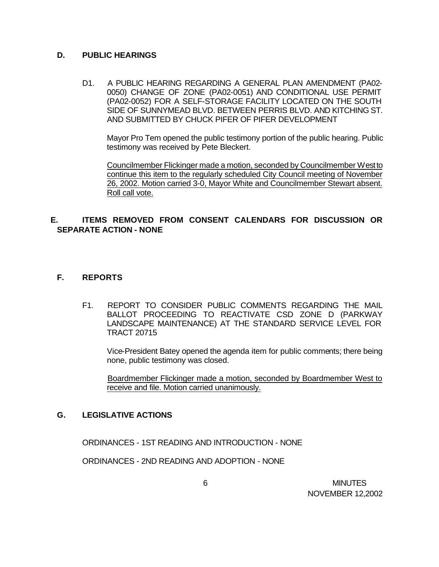# **D. PUBLIC HEARINGS**

D1. A PUBLIC HEARING REGARDING A GENERAL PLAN AMENDMENT (PA02- 0050) CHANGE OF ZONE (PA02-0051) AND CONDITIONAL USE PERMIT (PA02-0052) FOR A SELF-STORAGE FACILITY LOCATED ON THE SOUTH SIDE OF SUNNYMEAD BLVD. BETWEEN PERRIS BLVD. AND KITCHING ST. AND SUBMITTED BY CHUCK PIFER OF PIFER DEVELOPMENT

Mayor Pro Tem opened the public testimony portion of the public hearing. Public testimony was received by Pete Bleckert.

Councilmember Flickinger made a motion, seconded by Councilmember West to continue this item to the regularly scheduled City Council meeting of November 26, 2002. Motion carried 3-0, Mayor White and Councilmember Stewart absent. Roll call vote.

# **E. ITEMS REMOVED FROM CONSENT CALENDARS FOR DISCUSSION OR SEPARATE ACTION - NONE**

# **F. REPORTS**

F1. REPORT TO CONSIDER PUBLIC COMMENTS REGARDING THE MAIL BALLOT PROCEEDING TO REACTIVATE CSD ZONE D (PARKWAY LANDSCAPE MAINTENANCE) AT THE STANDARD SERVICE LEVEL FOR TRACT 20715

Vice-President Batey opened the agenda item for public comments; there being none, public testimony was closed.

Boardmember Flickinger made a motion, seconded by Boardmember West to receive and file. Motion carried unanimously.

## **G. LEGISLATIVE ACTIONS**

ORDINANCES - 1ST READING AND INTRODUCTION - NONE

ORDINANCES - 2ND READING AND ADOPTION - NONE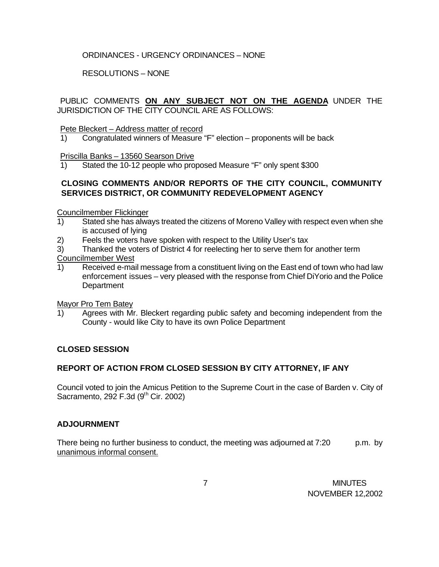# ORDINANCES - URGENCY ORDINANCES – NONE

RESOLUTIONS – NONE

PUBLIC COMMENTS **ON ANY SUBJECT NOT ON THE AGENDA** UNDER THE JURISDICTION OF THE CITY COUNCIL ARE AS FOLLOWS:

### Pete Bleckert – Address matter of record

1) Congratulated winners of Measure "F" election – proponents will be back

Priscilla Banks – 13560 Searson Drive

1) Stated the 10-12 people who proposed Measure "F" only spent \$300

# **CLOSING COMMENTS AND/OR REPORTS OF THE CITY COUNCIL, COMMUNITY SERVICES DISTRICT, OR COMMUNITY REDEVELOPMENT AGENCY**

Councilmember Flickinger

- 1) Stated she has always treated the citizens of Moreno Valley with respect even when she is accused of lying
- 2) Feels the voters have spoken with respect to the Utility User's tax
- 3) Thanked the voters of District 4 for reelecting her to serve them for another term

Councilmember West

1) Received e-mail message from a constituent living on the East end of town who had law enforcement issues – very pleased with the response from Chief DiYorio and the Police **Department** 

Mayor Pro Tem Batey

1) Agrees with Mr. Bleckert regarding public safety and becoming independent from the County - would like City to have its own Police Department

## **CLOSED SESSION**

## **REPORT OF ACTION FROM CLOSED SESSION BY CITY ATTORNEY, IF ANY**

Council voted to join the Amicus Petition to the Supreme Court in the case of Barden v. City of Sacramento, 292 F.3d (9<sup>th</sup> Cir. 2002)

## **ADJOURNMENT**

There being no further business to conduct, the meeting was adjourned at 7:20 p.m. by unanimous informal consent.